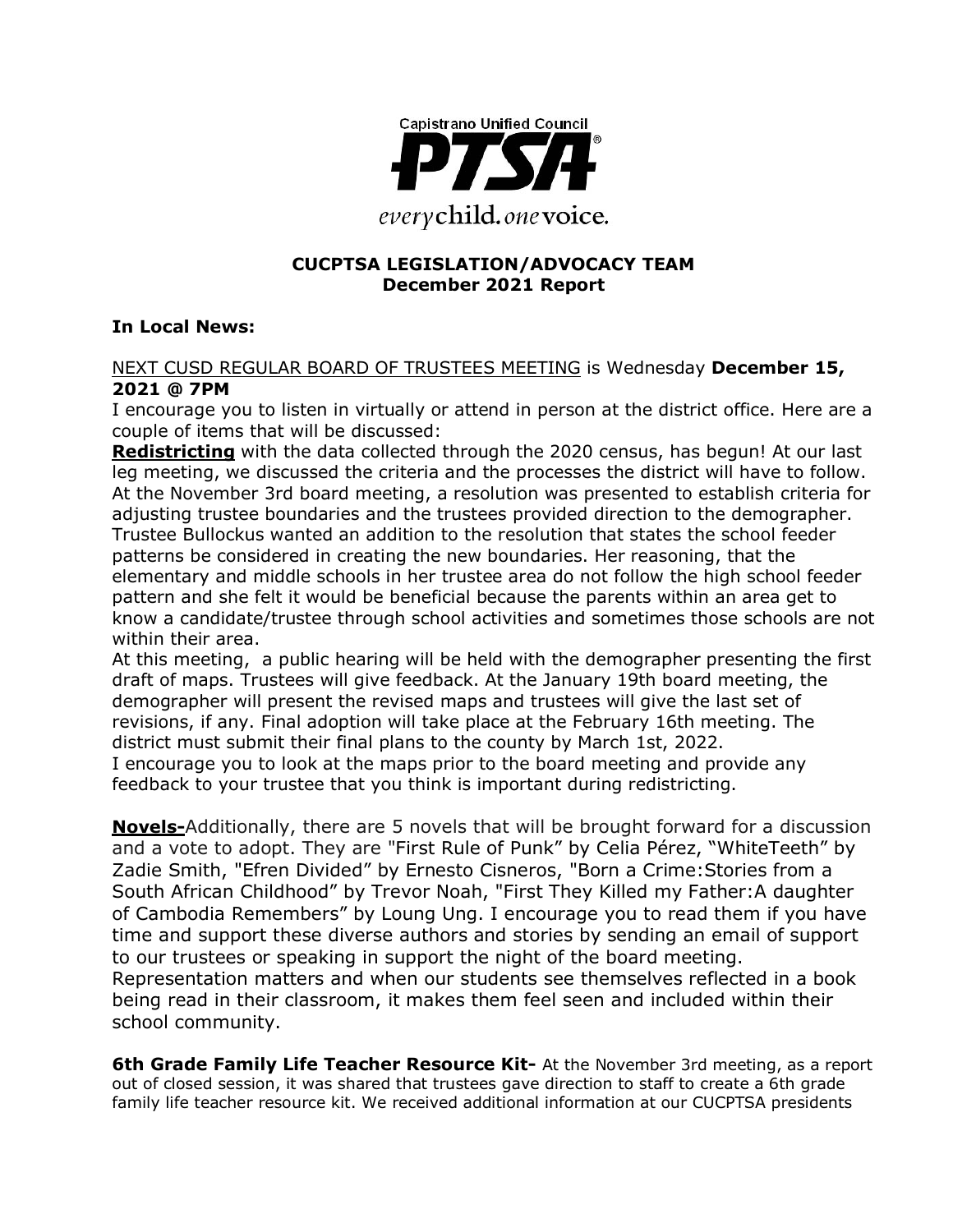

#### **CUCPTSA LEGISLATION/ADVOCACY TEAM December 2021 Report**

#### **In Local News:**

#### NEXT CUSD REGULAR BOARD OF TRUSTEES MEETING is Wednesday **December 15, 2021 @ 7PM**

I encourage you to listen in virtually or attend in person at the district office. Here are a couple of items that will be discussed:

**Redistricting** with the data collected through the 2020 census, has begun! At our last leg meeting, we discussed the criteria and the processes the district will have to follow. At the November 3rd board meeting, a resolution was presented to establish criteria for adjusting trustee boundaries and the trustees provided direction to the demographer. Trustee Bullockus wanted an addition to the resolution that states the school feeder patterns be considered in creating the new boundaries. Her reasoning, that the elementary and middle schools in her trustee area do not follow the high school feeder pattern and she felt it would be beneficial because the parents within an area get to know a candidate/trustee through school activities and sometimes those schools are not within their area.

At this meeting, a public hearing will be held with the demographer presenting the first draft of maps. Trustees will give feedback. At the January 19th board meeting, the demographer will present the revised maps and trustees will give the last set of revisions, if any. Final adoption will take place at the February 16th meeting. The district must submit their final plans to the county by March 1st, 2022. I encourage you to look at the maps prior to the board meeting and provide any feedback to your trustee that you think is important during redistricting.

**Novels-**Additionally, there are 5 novels that will be brought forward for a discussion and a vote to adopt. They are "First Rule of Punk" by Celia Pérez, "WhiteTeeth" by Zadie Smith, "Efren Divided" by Ernesto Cisneros, "Born a Crime:Stories from a South African Childhood" by Trevor Noah, "First They Killed my Father:A daughter of Cambodia Remembers" by Loung Ung. I encourage you to read them if you have time and support these diverse authors and stories by sending an email of support to our trustees or speaking in support the night of the board meeting. Representation matters and when our students see themselves reflected in a book being read in their classroom, it makes them feel seen and included within their school community.

**6th Grade Family Life Teacher Resource Kit-** At the November 3rd meeting, as a report out of closed session, it was shared that trustees gave direction to staff to create a 6th grade family life teacher resource kit. We received additional information at our CUCPTSA presidents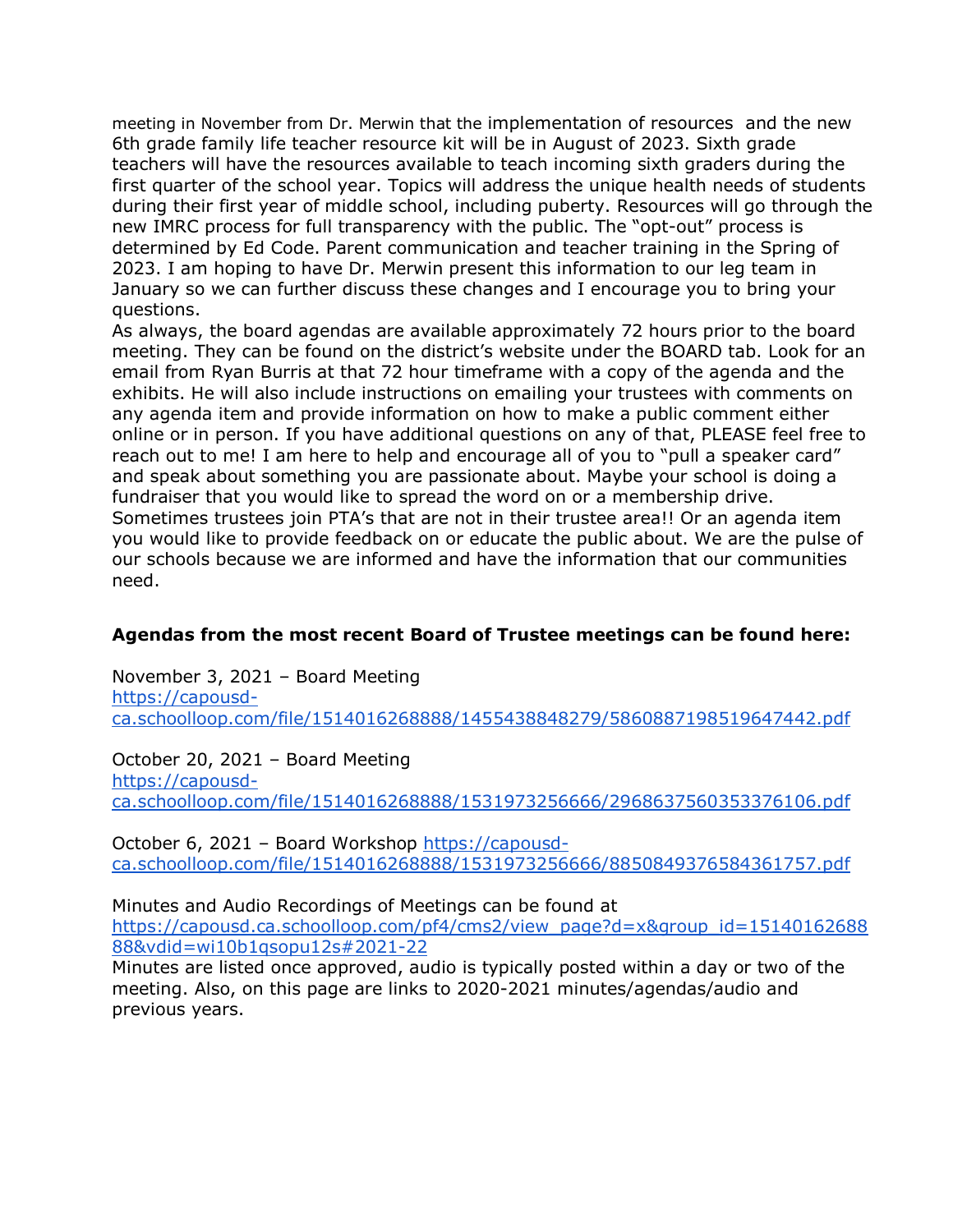meeting in November from Dr. Merwin that the implementation of resources and the new 6th grade family life teacher resource kit will be in August of 2023. Sixth grade teachers will have the resources available to teach incoming sixth graders during the first quarter of the school year. Topics will address the unique health needs of students during their first year of middle school, including puberty. Resources will go through the new IMRC process for full transparency with the public. The "opt-out" process is determined by Ed Code. Parent communication and teacher training in the Spring of 2023. I am hoping to have Dr. Merwin present this information to our leg team in January so we can further discuss these changes and I encourage you to bring your questions.

As always, the board agendas are available approximately 72 hours prior to the board meeting. They can be found on the district's website under the BOARD tab. Look for an email from Ryan Burris at that 72 hour timeframe with a copy of the agenda and the exhibits. He will also include instructions on emailing your trustees with comments on any agenda item and provide information on how to make a public comment either online or in person. If you have additional questions on any of that, PLEASE feel free to reach out to me! I am here to help and encourage all of you to "pull a speaker card" and speak about something you are passionate about. Maybe your school is doing a fundraiser that you would like to spread the word on or a membership drive. Sometimes trustees join PTA's that are not in their trustee area!! Or an agenda item you would like to provide feedback on or educate the public about. We are the pulse of our schools because we are informed and have the information that our communities need.

#### **Agendas from the most recent Board of Trustee meetings can be found here:**

November 3, 2021 – Board Meeting https://capousdca.schoolloop.com/file/1514016268888/1455438848279/5860887198519647442.pdf

October 20, 2021 – Board Meeting https://capousdca.schoolloop.com/file/1514016268888/1531973256666/2968637560353376106.pdf

October 6, 2021 – Board Workshop https://capousdca.schoolloop.com/file/1514016268888/1531973256666/8850849376584361757.pdf

Minutes and Audio Recordings of Meetings can be found at https://capousd.ca.schoolloop.com/pf4/cms2/view\_page?d=x&group\_id=15140162688 88&vdid=wi10b1qsopu12s#2021-22

Minutes are listed once approved, audio is typically posted within a day or two of the meeting. Also, on this page are links to 2020-2021 minutes/agendas/audio and previous years.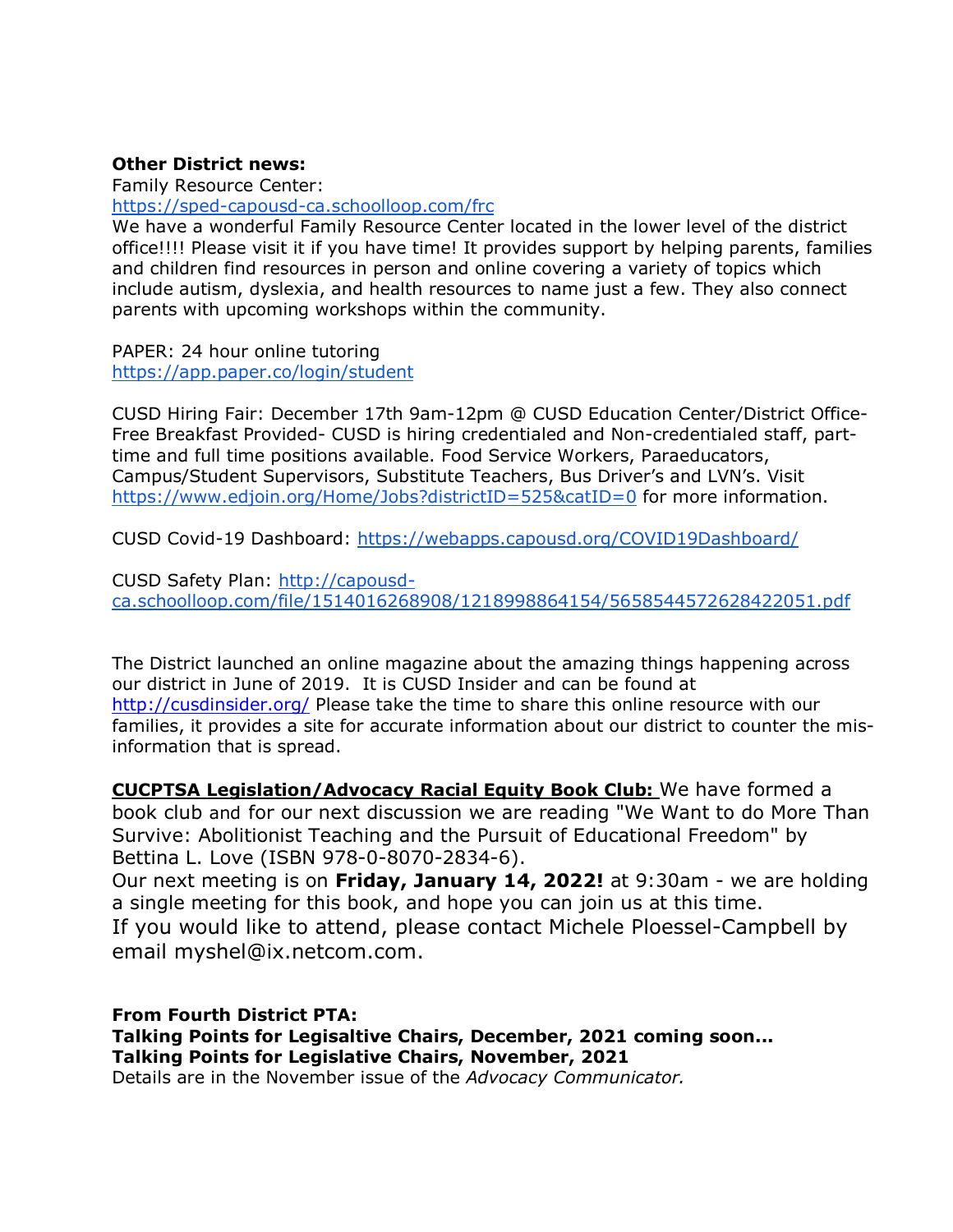#### **Other District news:**

Family Resource Center:

https://sped-capousd-ca.schoolloop.com/frc

We have a wonderful Family Resource Center located in the lower level of the district office!!!! Please visit it if you have time! It provides support by helping parents, families and children find resources in person and online covering a variety of topics which include autism, dyslexia, and health resources to name just a few. They also connect parents with upcoming workshops within the community.

PAPER: 24 hour online tutoring https://app.paper.co/login/student

CUSD Hiring Fair: December 17th 9am-12pm @ CUSD Education Center/District Office-Free Breakfast Provided- CUSD is hiring credentialed and Non-credentialed staff, parttime and full time positions available. Food Service Workers, Paraeducators, Campus/Student Supervisors, Substitute Teachers, Bus Driver's and LVN's. Visit https://www.edjoin.org/Home/Jobs?districtID=525&catID=0 for more information.

CUSD Covid-19 Dashboard: https://webapps.capousd.org/COVID19Dashboard/

CUSD Safety Plan: http://capousdca.schoolloop.com/file/1514016268908/1218998864154/5658544572628422051.pdf

The District launched an online magazine about the amazing things happening across our district in June of 2019. It is CUSD Insider and can be found at http://cusdinsider.org/ Please take the time to share this online resource with our families, it provides a site for accurate information about our district to counter the misinformation that is spread.

**CUCPTSA Legislation/Advocacy Racial Equity Book Club:** We have formed a book club and for our next discussion we are reading "We Want to do More Than Survive: Abolitionist Teaching and the Pursuit of Educational Freedom" by Bettina L. Love (ISBN 978-0-8070-2834-6).

Our next meeting is on **Friday, January 14, 2022!** at 9:30am - we are holding a single meeting for this book, and hope you can join us at this time. If you would like to attend, please contact Michele Ploessel-Campbell by email myshel@ix.netcom.com.

**From Fourth District PTA: Talking Points for Legisaltive Chairs, December, 2021 coming soon... Talking Points for Legislative Chairs, November, 2021** Details are in the November issue of the *Advocacy Communicator.*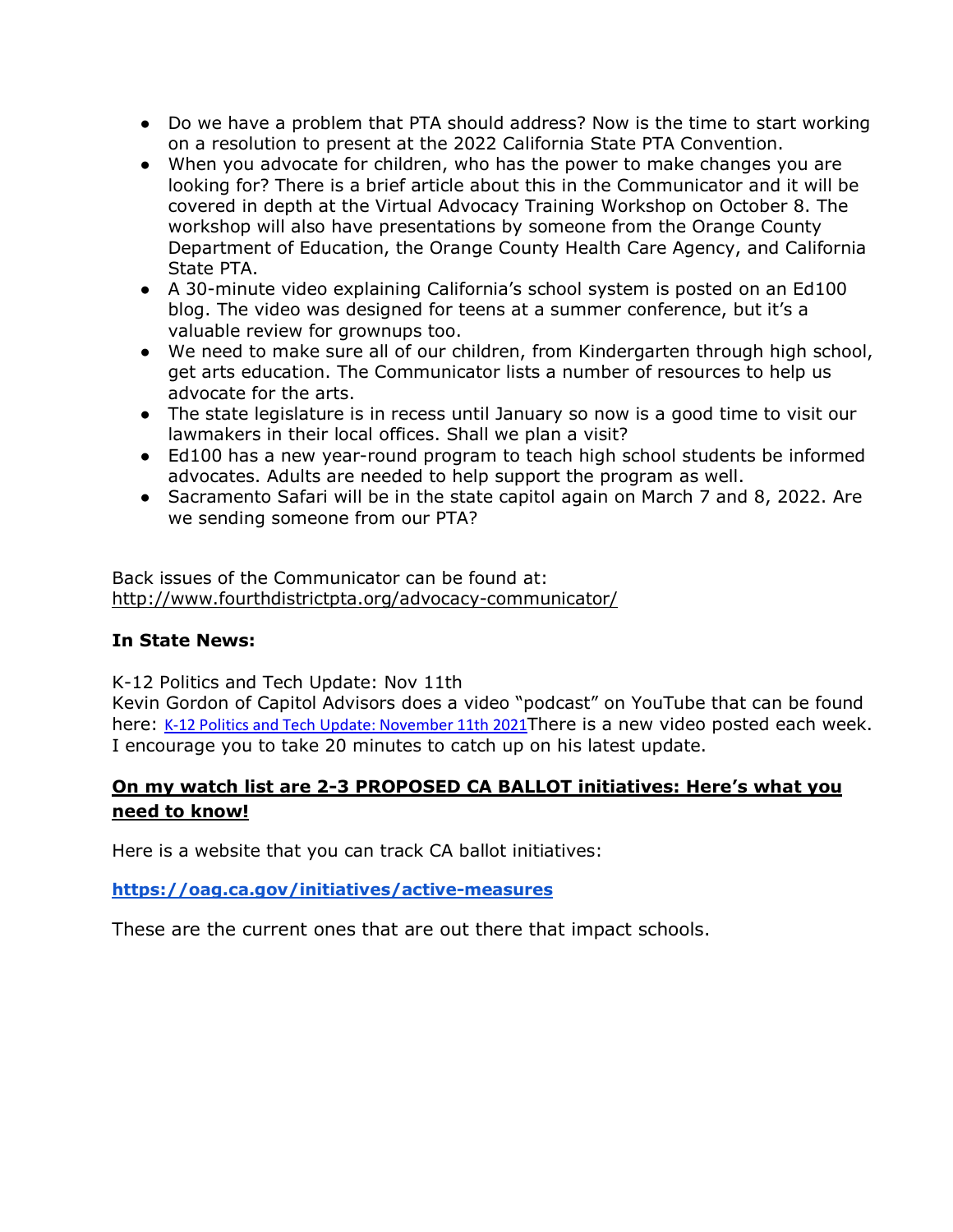- Do we have a problem that PTA should address? Now is the time to start working on a resolution to present at the 2022 California State PTA Convention.
- When you advocate for children, who has the power to make changes you are looking for? There is a brief article about this in the Communicator and it will be covered in depth at the Virtual Advocacy Training Workshop on October 8. The workshop will also have presentations by someone from the Orange County Department of Education, the Orange County Health Care Agency, and California State PTA.
- A 30-minute video explaining California's school system is posted on an Ed100 blog. The video was designed for teens at a summer conference, but it's a valuable review for grownups too.
- We need to make sure all of our children, from Kindergarten through high school, get arts education. The Communicator lists a number of resources to help us advocate for the arts.
- The state legislature is in recess until January so now is a good time to visit our lawmakers in their local offices. Shall we plan a visit?
- Ed100 has a new year-round program to teach high school students be informed advocates. Adults are needed to help support the program as well.
- Sacramento Safari will be in the state capitol again on March 7 and 8, 2022. Are we sending someone from our PTA?

Back issues of the Communicator can be found at: http://www.fourthdistrictpta.org/advocacy-communicator/

#### **In State News:**

K-12 Politics and Tech Update: Nov 11th

Kevin Gordon of Capitol Advisors does a video "podcast" on YouTube that can be found here: K-12 Politics and Tech Update: November 11th 2021There is a new video posted each week. I encourage you to take 20 minutes to catch up on his latest update.

## **On my watch list are 2-3 PROPOSED CA BALLOT initiatives: Here's what you need to know!**

Here is a website that you can track CA ballot initiatives:

**https://oag.ca.gov/initiatives/active-measures**

These are the current ones that are out there that impact schools.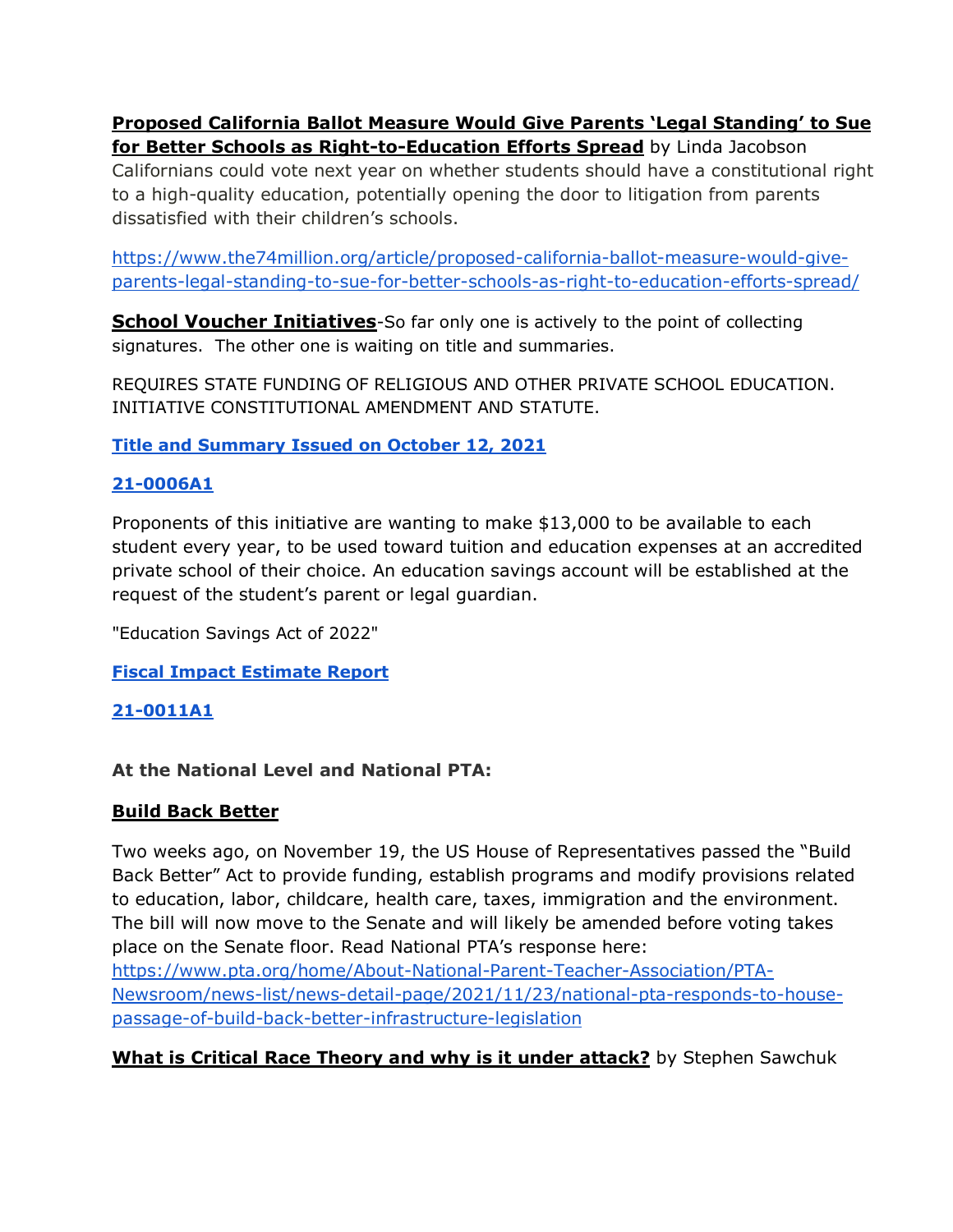### **Proposed California Ballot Measure Would Give Parents 'Legal Standing' to Sue for Better Schools as Right-to-Education Efforts Spread** by Linda Jacobson

Californians could vote next year on whether students should have a constitutional right to a high-quality education, potentially opening the door to litigation from parents dissatisfied with their children's schools.

https://www.the74million.org/article/proposed-california-ballot-measure-would-giveparents-legal-standing-to-sue-for-better-schools-as-right-to-education-efforts-spread/

**School Voucher Initiatives**-So far only one is actively to the point of collecting signatures. The other one is waiting on title and summaries.

REQUIRES STATE FUNDING OF RELIGIOUS AND OTHER PRIVATE SCHOOL EDUCATION. INITIATIVE CONSTITUTIONAL AMENDMENT AND STATUTE.

**Title and Summary Issued on October 12, 2021**

## **21-0006A1**

Proponents of this initiative are wanting to make \$13,000 to be available to each student every year, to be used toward tuition and education expenses at an accredited private school of their choice. An education savings account will be established at the request of the student's parent or legal guardian.

"Education Savings Act of 2022"

**Fiscal Impact Estimate Report**

## **21-0011A1**

## **At the National Level and National PTA:**

## **Build Back Better**

Two weeks ago, on November 19, the US House of Representatives passed the "Build Back Better" Act to provide funding, establish programs and modify provisions related to education, labor, childcare, health care, taxes, immigration and the environment. The bill will now move to the Senate and will likely be amended before voting takes place on the Senate floor. Read National PTA's response here: https://www.pta.org/home/About-National-Parent-Teacher-Association/PTA-Newsroom/news-list/news-detail-page/2021/11/23/national-pta-responds-to-housepassage-of-build-back-better-infrastructure-legislation

## **What is Critical Race Theory and why is it under attack?** by Stephen Sawchuk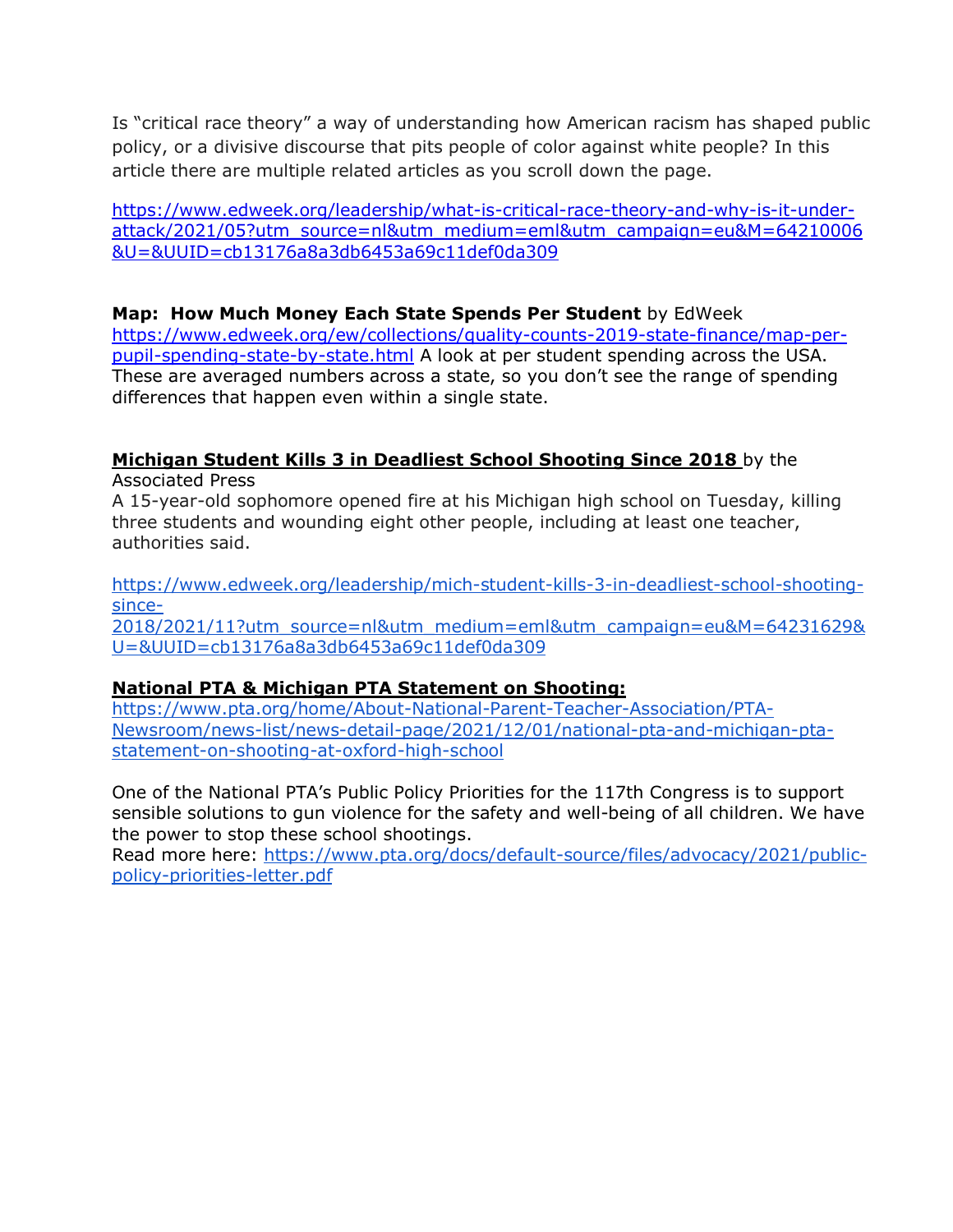Is "critical race theory" a way of understanding how American racism has shaped public policy, or a divisive discourse that pits people of color against white people? In this article there are multiple related articles as you scroll down the page.

https://www.edweek.org/leadership/what-is-critical-race-theory-and-why-is-it-underattack/2021/05?utm\_source=nl&utm\_medium=eml&utm\_campaign=eu&M=64210006 &U=&UUID=cb13176a8a3db6453a69c11def0da309

#### **Map: How Much Money Each State Spends Per Student** by EdWeek

https://www.edweek.org/ew/collections/quality-counts-2019-state-finance/map-perpupil-spending-state-by-state.html A look at per student spending across the USA. These are averaged numbers across a state, so you don't see the range of spending differences that happen even within a single state.

## **Michigan Student Kills 3 in Deadliest School Shooting Since 2018** by the

Associated Press

A 15-year-old sophomore opened fire at his Michigan high school on Tuesday, killing three students and wounding eight other people, including at least one teacher, authorities said.

https://www.edweek.org/leadership/mich-student-kills-3-in-deadliest-school-shootingsince-

2018/2021/11?utm\_source=nl&utm\_medium=eml&utm\_campaign=eu&M=64231629& U=&UUID=cb13176a8a3db6453a69c11def0da309

#### **National PTA & Michigan PTA Statement on Shooting:**

https://www.pta.org/home/About-National-Parent-Teacher-Association/PTA-Newsroom/news-list/news-detail-page/2021/12/01/national-pta-and-michigan-ptastatement-on-shooting-at-oxford-high-school

One of the National PTA's Public Policy Priorities for the 117th Congress is to support sensible solutions to gun violence for the safety and well-being of all children. We have the power to stop these school shootings.

Read more here: https://www.pta.org/docs/default-source/files/advocacy/2021/publicpolicy-priorities-letter.pdf